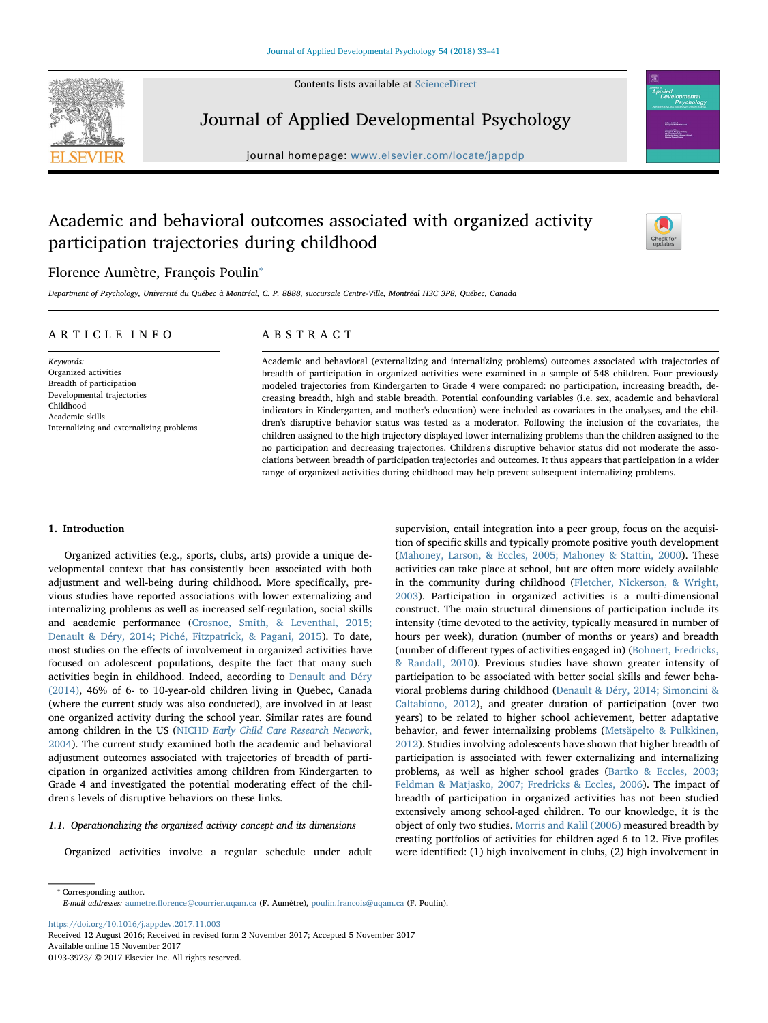Contents lists available at [ScienceDirect](http://www.sciencedirect.com/science/journal/01933973)



Journal of Applied Developmental Psychology

journal homepage: [www.elsevier.com/locate/jappdp](https://www.elsevier.com/locate/jappdp)

# Academic and behavioral outcomes associated with organized activity participation trajectories during childhood



## Florence Aumètre, François Poulin<sup>®</sup>

Department of Psychology, Université du Québec à Montréal, C. P. 8888, succursale Centre-Ville, Montréal H3C 3P8, Québec, Canada

## ARTICLE INFO

Keywords: Organized activities Breadth of participation Developmental trajectories Childhood Academic skills Internalizing and externalizing problems

## ABSTRACT

Academic and behavioral (externalizing and internalizing problems) outcomes associated with trajectories of breadth of participation in organized activities were examined in a sample of 548 children. Four previously modeled trajectories from Kindergarten to Grade 4 were compared: no participation, increasing breadth, decreasing breadth, high and stable breadth. Potential confounding variables (i.e. sex, academic and behavioral indicators in Kindergarten, and mother's education) were included as covariates in the analyses, and the children's disruptive behavior status was tested as a moderator. Following the inclusion of the covariates, the children assigned to the high trajectory displayed lower internalizing problems than the children assigned to the no participation and decreasing trajectories. Children's disruptive behavior status did not moderate the associations between breadth of participation trajectories and outcomes. It thus appears that participation in a wider range of organized activities during childhood may help prevent subsequent internalizing problems.

#### 1. Introduction

Organized activities (e.g., sports, clubs, arts) provide a unique developmental context that has consistently been associated with both adjustment and well-being during childhood. More specifically, previous studies have reported associations with lower externalizing and internalizing problems as well as increased self-regulation, social skills and academic performance [\(Crosnoe, Smith, & Leventhal, 2015;](#page-7-0) [Denault & Déry, 2014; Piché, Fitzpatrick, & Pagani, 2015\)](#page-7-0). To date, most studies on the effects of involvement in organized activities have focused on adolescent populations, despite the fact that many such activities begin in childhood. Indeed, according to [Denault and Déry](#page-7-1) [\(2014\),](#page-7-1) 46% of 6- to 10-year-old children living in Quebec, Canada (where the current study was also conducted), are involved in at least one organized activity during the school year. Similar rates are found among children in the US (NICHD [Early Child Care Research Network](#page-8-0), [2004\)](#page-8-0). The current study examined both the academic and behavioral adjustment outcomes associated with trajectories of breadth of participation in organized activities among children from Kindergarten to Grade 4 and investigated the potential moderating effect of the children's levels of disruptive behaviors on these links.

## 1.1. Operationalizing the organized activity concept and its dimensions

Organized activities involve a regular schedule under adult

supervision, entail integration into a peer group, focus on the acquisition of specific skills and typically promote positive youth development ([Mahoney, Larson, & Eccles, 2005; Mahoney & Stattin, 2000\)](#page-7-2). These activities can take place at school, but are often more widely available in the community during childhood ([Fletcher, Nickerson, & Wright,](#page-7-3) [2003\)](#page-7-3). Participation in organized activities is a multi-dimensional construct. The main structural dimensions of participation include its intensity (time devoted to the activity, typically measured in number of hours per week), duration (number of months or years) and breadth (number of different types of activities engaged in) ([Bohnert, Fredricks,](#page-7-4) [& Randall, 2010](#page-7-4)). Previous studies have shown greater intensity of participation to be associated with better social skills and fewer behavioral problems during childhood ([Denault & Déry, 2014; Simoncini &](#page-7-1) [Caltabiono, 2012](#page-7-1)), and greater duration of participation (over two years) to be related to higher school achievement, better adaptative behavior, and fewer internalizing problems [\(Metsäpelto & Pulkkinen,](#page-7-5) [2012\)](#page-7-5). Studies involving adolescents have shown that higher breadth of participation is associated with fewer externalizing and internalizing problems, as well as higher school grades ([Bartko & Eccles, 2003;](#page-7-6) [Feldman & Matjasko, 2007; Fredricks & Eccles, 2006\)](#page-7-6). The impact of breadth of participation in organized activities has not been studied extensively among school-aged children. To our knowledge, it is the object of only two studies. [Morris and Kalil \(2006\)](#page-7-7) measured breadth by creating portfolios of activities for children aged 6 to 12. Five profiles were identified: (1) high involvement in clubs, (2) high involvement in

<span id="page-0-0"></span>⁎ Corresponding author. E-mail addresses: aumetre.fl[orence@courrier.uqam.ca](mailto:aumetre.florence@courrier.uqam.ca) (F. Aumètre), [poulin.francois@uqam.ca](mailto:poulin.francois@uqam.ca) (F. Poulin).

<https://doi.org/10.1016/j.appdev.2017.11.003>

Received 12 August 2016; Received in revised form 2 November 2017; Accepted 5 November 2017 Available online 15 November 2017

0193-3973/ © 2017 Elsevier Inc. All rights reserved.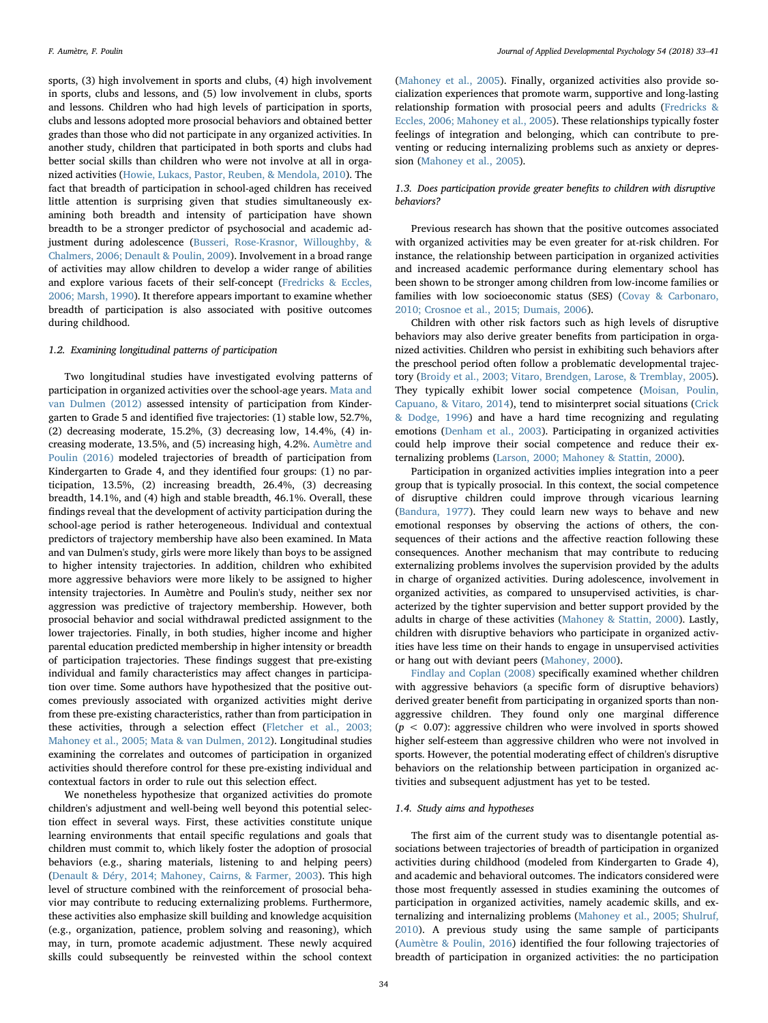sports, (3) high involvement in sports and clubs, (4) high involvement in sports, clubs and lessons, and (5) low involvement in clubs, sports and lessons. Children who had high levels of participation in sports, clubs and lessons adopted more prosocial behaviors and obtained better grades than those who did not participate in any organized activities. In another study, children that participated in both sports and clubs had better social skills than children who were not involve at all in organized activities [\(Howie, Lukacs, Pastor, Reuben, & Mendola, 2010](#page-7-8)). The fact that breadth of participation in school-aged children has received little attention is surprising given that studies simultaneously examining both breadth and intensity of participation have shown breadth to be a stronger predictor of psychosocial and academic ad-justment during adolescence [\(Busseri, Rose-Krasnor, Willoughby, &](#page-7-9) [Chalmers, 2006; Denault & Poulin, 2009\)](#page-7-9). Involvement in a broad range of activities may allow children to develop a wider range of abilities and explore various facets of their self-concept ([Fredricks & Eccles,](#page-7-10) [2006; Marsh, 1990\)](#page-7-10). It therefore appears important to examine whether breadth of participation is also associated with positive outcomes during childhood.

#### 1.2. Examining longitudinal patterns of participation

Two longitudinal studies have investigated evolving patterns of participation in organized activities over the school-age years. [Mata and](#page-7-11) [van Dulmen \(2012\)](#page-7-11) assessed intensity of participation from Kindergarten to Grade 5 and identified five trajectories: (1) stable low, 52.7%, (2) decreasing moderate, 15.2%, (3) decreasing low, 14.4%, (4) increasing moderate, 13.5%, and (5) increasing high, 4.2%. [Aumètre and](#page-7-12) [Poulin \(2016\)](#page-7-12) modeled trajectories of breadth of participation from Kindergarten to Grade 4, and they identified four groups: (1) no participation, 13.5%, (2) increasing breadth, 26.4%, (3) decreasing breadth, 14.1%, and (4) high and stable breadth, 46.1%. Overall, these findings reveal that the development of activity participation during the school-age period is rather heterogeneous. Individual and contextual predictors of trajectory membership have also been examined. In Mata and van Dulmen's study, girls were more likely than boys to be assigned to higher intensity trajectories. In addition, children who exhibited more aggressive behaviors were more likely to be assigned to higher intensity trajectories. In Aumètre and Poulin's study, neither sex nor aggression was predictive of trajectory membership. However, both prosocial behavior and social withdrawal predicted assignment to the lower trajectories. Finally, in both studies, higher income and higher parental education predicted membership in higher intensity or breadth of participation trajectories. These findings suggest that pre-existing individual and family characteristics may affect changes in participation over time. Some authors have hypothesized that the positive outcomes previously associated with organized activities might derive from these pre-existing characteristics, rather than from participation in these activities, through a selection effect ([Fletcher et al., 2003;](#page-7-3) [Mahoney et al., 2005; Mata & van Dulmen, 2012\)](#page-7-3). Longitudinal studies examining the correlates and outcomes of participation in organized activities should therefore control for these pre-existing individual and contextual factors in order to rule out this selection effect.

We nonetheless hypothesize that organized activities do promote children's adjustment and well-being well beyond this potential selection effect in several ways. First, these activities constitute unique learning environments that entail specific regulations and goals that children must commit to, which likely foster the adoption of prosocial behaviors (e.g., sharing materials, listening to and helping peers) ([Denault & Déry, 2014; Mahoney, Cairns, & Farmer, 2003\)](#page-7-1). This high level of structure combined with the reinforcement of prosocial behavior may contribute to reducing externalizing problems. Furthermore, these activities also emphasize skill building and knowledge acquisition (e.g., organization, patience, problem solving and reasoning), which may, in turn, promote academic adjustment. These newly acquired skills could subsequently be reinvested within the school context

([Mahoney et al., 2005\)](#page-7-2). Finally, organized activities also provide socialization experiences that promote warm, supportive and long-lasting relationship formation with prosocial peers and adults ([Fredricks &](#page-7-10) Eccles, [2006; Mahoney et al., 2005\)](#page-7-10). These relationships typically foster feelings of integration and belonging, which can contribute to preventing or reducing internalizing problems such as anxiety or depression ([Mahoney et al., 2005\)](#page-7-2).

## 1.3. Does participation provide greater benefits to children with disruptive behaviors?

Previous research has shown that the positive outcomes associated with organized activities may be even greater for at-risk children. For instance, the relationship between participation in organized activities and increased academic performance during elementary school has been shown to be stronger among children from low-income families or families with low socioeconomic status (SES) ([Covay & Carbonaro,](#page-7-13) [2010; Crosnoe et al., 2015; Dumais, 2006](#page-7-13)).

Children with other risk factors such as high levels of disruptive behaviors may also derive greater benefits from participation in organized activities. Children who persist in exhibiting such behaviors after the preschool period often follow a problematic developmental trajectory [\(Broidy et al., 2003; Vitaro, Brendgen, Larose, & Tremblay, 2005](#page-7-14)). They typically exhibit lower social competence [\(Moisan, Poulin,](#page-7-15) [Capuano, & Vitaro, 2014](#page-7-15)), tend to misinterpret social situations [\(Crick](#page-7-16) [& Dodge, 1996\)](#page-7-16) and have a hard time recognizing and regulating emotions [\(Denham et al., 2003](#page-7-17)). Participating in organized activities could help improve their social competence and reduce their externalizing problems [\(Larson, 2000; Mahoney & Stattin, 2000](#page-7-18)).

Participation in organized activities implies integration into a peer group that is typically prosocial. In this context, the social competence of disruptive children could improve through vicarious learning ([Bandura, 1977\)](#page-7-19). They could learn new ways to behave and new emotional responses by observing the actions of others, the consequences of their actions and the affective reaction following these consequences. Another mechanism that may contribute to reducing externalizing problems involves the supervision provided by the adults in charge of organized activities. During adolescence, involvement in organized activities, as compared to unsupervised activities, is characterized by the tighter supervision and better support provided by the adults in charge of these activities [\(Mahoney & Stattin, 2000\)](#page-7-20). Lastly, children with disruptive behaviors who participate in organized activities have less time on their hands to engage in unsupervised activities or hang out with deviant peers ([Mahoney, 2000](#page-7-21)).

[Findlay and Coplan \(2008\)](#page-7-22) specifically examined whether children with aggressive behaviors (a specific form of disruptive behaviors) derived greater benefit from participating in organized sports than nonaggressive children. They found only one marginal difference  $(p < 0.07)$ : aggressive children who were involved in sports showed higher self-esteem than aggressive children who were not involved in sports. However, the potential moderating effect of children's disruptive behaviors on the relationship between participation in organized activities and subsequent adjustment has yet to be tested.

## 1.4. Study aims and hypotheses

The first aim of the current study was to disentangle potential associations between trajectories of breadth of participation in organized activities during childhood (modeled from Kindergarten to Grade 4), and academic and behavioral outcomes. The indicators considered were those most frequently assessed in studies examining the outcomes of participation in organized activities, namely academic skills, and externalizing and internalizing problems ([Mahoney et al., 2005; Shulruf,](#page-7-2) [2010\)](#page-7-2). A previous study using the same sample of participants ([Aumètre & Poulin, 2016](#page-7-12)) identified the four following trajectories of breadth of participation in organized activities: the no participation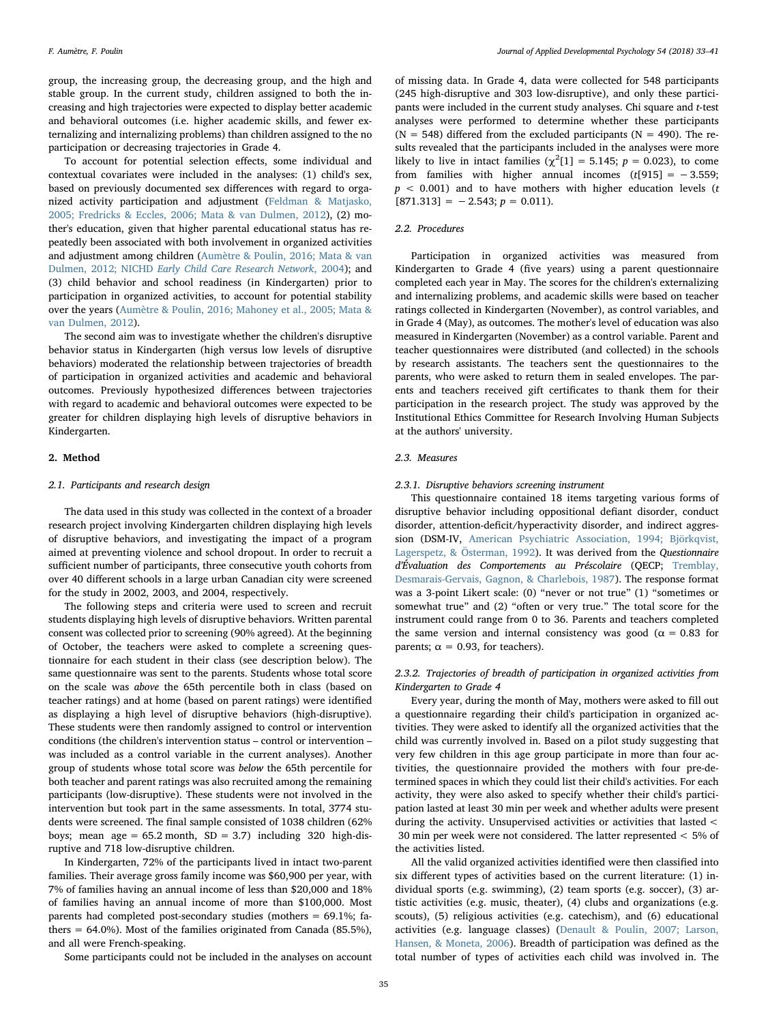group, the increasing group, the decreasing group, and the high and stable group. In the current study, children assigned to both the increasing and high trajectories were expected to display better academic and behavioral outcomes (i.e. higher academic skills, and fewer externalizing and internalizing problems) than children assigned to the no participation or decreasing trajectories in Grade 4.

To account for potential selection effects, some individual and contextual covariates were included in the analyses: (1) child's sex, based on previously documented sex differences with regard to organized activity participation and adjustment ([Feldman & Matjasko,](#page-7-23) [2005; Fredricks & Eccles, 2006; Mata & van Dulmen, 2012\)](#page-7-23), (2) mother's education, given that higher parental educational status has repeatedly been associated with both involvement in organized activities and adjustment among children [\(Aumètre & Poulin, 2016; Mata & van](#page-7-12) Dulmen, 2012; NICHD [Early Child Care Research Network](#page-7-12), 2004); and (3) child behavior and school readiness (in Kindergarten) prior to participation in organized activities, to account for potential stability over the years ([Aumètre & Poulin, 2016; Mahoney et al., 2005; Mata &](#page-7-12) [van Dulmen, 2012\)](#page-7-12).

The second aim was to investigate whether the children's disruptive behavior status in Kindergarten (high versus low levels of disruptive behaviors) moderated the relationship between trajectories of breadth of participation in organized activities and academic and behavioral outcomes. Previously hypothesized differences between trajectories with regard to academic and behavioral outcomes were expected to be greater for children displaying high levels of disruptive behaviors in Kindergarten.

#### 2. Method

#### 2.1. Participants and research design

The data used in this study was collected in the context of a broader research project involving Kindergarten children displaying high levels of disruptive behaviors, and investigating the impact of a program aimed at preventing violence and school dropout. In order to recruit a sufficient number of participants, three consecutive youth cohorts from over 40 different schools in a large urban Canadian city were screened for the study in 2002, 2003, and 2004, respectively.

The following steps and criteria were used to screen and recruit students displaying high levels of disruptive behaviors. Written parental consent was collected prior to screening (90% agreed). At the beginning of October, the teachers were asked to complete a screening questionnaire for each student in their class (see description below). The same questionnaire was sent to the parents. Students whose total score on the scale was above the 65th percentile both in class (based on teacher ratings) and at home (based on parent ratings) were identified as displaying a high level of disruptive behaviors (high-disruptive). These students were then randomly assigned to control or intervention conditions (the children's intervention status – control or intervention – was included as a control variable in the current analyses). Another group of students whose total score was below the 65th percentile for both teacher and parent ratings was also recruited among the remaining participants (low-disruptive). These students were not involved in the intervention but took part in the same assessments. In total, 3774 students were screened. The final sample consisted of 1038 children (62% boys; mean age =  $65.2$  month,  $SD = 3.7$ ) including 320 high-disruptive and 718 low-disruptive children.

In Kindergarten, 72% of the participants lived in intact two-parent families. Their average gross family income was \$60,900 per year, with 7% of families having an annual income of less than \$20,000 and 18% of families having an annual income of more than \$100,000. Most parents had completed post-secondary studies (mothers = 69.1%; fathers = 64.0%). Most of the families originated from Canada (85.5%), and all were French-speaking.

Some participants could not be included in the analyses on account

of missing data. In Grade 4, data were collected for 548 participants (245 high-disruptive and 303 low-disruptive), and only these participants were included in the current study analyses. Chi square and t-test analyses were performed to determine whether these participants  $(N = 548)$  differed from the excluded participants  $(N = 490)$ . The results revealed that the participants included in the analyses were more likely to live in intact families ( $\chi^2[1] = 5.145; p = 0.023$ ), to come from families with higher annual incomes  $(t[915] = -3.559;$  $p < 0.001$ ) and to have mothers with higher education levels (t  $[871.313] = -2.543; p = 0.011$ .

#### 2.2. Procedures

Participation in organized activities was measured from Kindergarten to Grade 4 (five years) using a parent questionnaire completed each year in May. The scores for the children's externalizing and internalizing problems, and academic skills were based on teacher ratings collected in Kindergarten (November), as control variables, and in Grade 4 (May), as outcomes. The mother's level of education was also measured in Kindergarten (November) as a control variable. Parent and teacher questionnaires were distributed (and collected) in the schools by research assistants. The teachers sent the questionnaires to the parents, who were asked to return them in sealed envelopes. The parents and teachers received gift certificates to thank them for their participation in the research project. The study was approved by the Institutional Ethics Committee for Research Involving Human Subjects at the authors' university.

#### 2.3. Measures

#### 2.3.1. Disruptive behaviors screening instrument

This questionnaire contained 18 items targeting various forms of disruptive behavior including oppositional defiant disorder, conduct disorder, attention-deficit/hyperactivity disorder, and indirect aggression (DSM-IV, [American Psychiatric Association, 1994; Björkqvist,](#page-7-24) [Lagerspetz, & Österman, 1992](#page-7-24)). It was derived from the Questionnaire d'Évaluation des Comportements au Préscolaire (QECP; [Tremblay,](#page-8-1) [Desmarais-Gervais, Gagnon, & Charlebois, 1987](#page-8-1)). The response format was a 3-point Likert scale: (0) "never or not true" (1) "sometimes or somewhat true" and (2) "often or very true." The total score for the instrument could range from 0 to 36. Parents and teachers completed the same version and internal consistency was good ( $\alpha = 0.83$  for parents;  $\alpha = 0.93$ , for teachers).

## 2.3.2. Trajectories of breadth of participation in organized activities from Kindergarten to Grade 4

Every year, during the month of May, mothers were asked to fill out a questionnaire regarding their child's participation in organized activities. They were asked to identify all the organized activities that the child was currently involved in. Based on a pilot study suggesting that very few children in this age group participate in more than four activities, the questionnaire provided the mothers with four pre-determined spaces in which they could list their child's activities. For each activity, they were also asked to specify whether their child's participation lasted at least 30 min per week and whether adults were present during the activity. Unsupervised activities or activities that lasted < 30 min per week were not considered. The latter represented < 5% of the activities listed.

All the valid organized activities identified were then classified into six different types of activities based on the current literature: (1) individual sports (e.g. swimming), (2) team sports (e.g. soccer), (3) artistic activities (e.g. music, theater), (4) clubs and organizations (e.g. scouts), (5) religious activities (e.g. catechism), and (6) educational activities (e.g. language classes) (Denault [& Poulin, 2007; Larson,](#page-7-25) [Hansen, & Moneta, 2006](#page-7-25)). Breadth of participation was defined as the total number of types of activities each child was involved in. The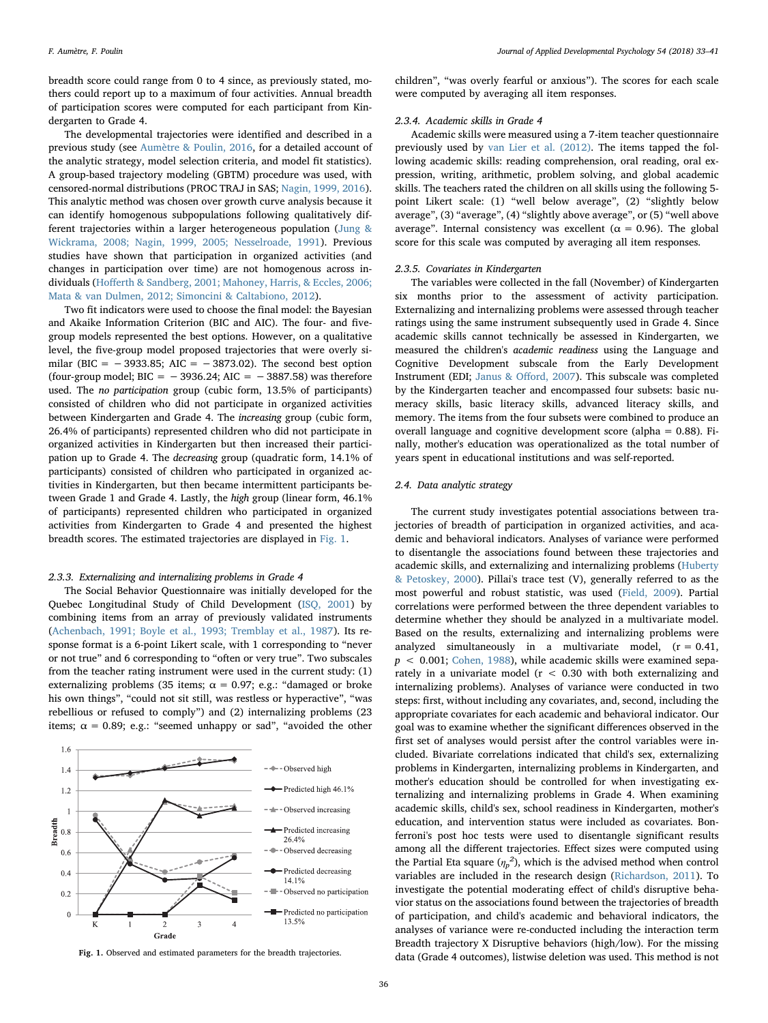breadth score could range from 0 to 4 since, as previously stated, mothers could report up to a maximum of four activities. Annual breadth of participation scores were computed for each participant from Kindergarten to Grade 4.

The developmental trajectories were identified and described in a previous study (see [Aumètre & Poulin, 2016,](#page-7-12) for a detailed account of the analytic strategy, model selection criteria, and model fit statistics). A group-based trajectory modeling (GBTM) procedure was used, with censored-normal distributions (PROC TRAJ in SAS; [Nagin, 1999, 2016](#page-8-2)). This analytic method was chosen over growth curve analysis because it can identify homogenous subpopulations following qualitatively different trajectories within a larger heterogeneous population (Jung  $\&$ [Wickrama, 2008; Nagin, 1999, 2005; Nesselroade, 1991\)](#page-7-26). Previous studies have shown that participation in organized activities (and changes in participation over time) are not homogenous across individuals (Hoff[erth & Sandberg, 2001; Mahoney, Harris, & Eccles, 2006;](#page-7-27) [Mata & van Dulmen, 2012; Simoncini & Caltabiono, 2012](#page-7-27)).

Two fit indicators were used to choose the final model: the Bayesian and Akaike Information Criterion (BIC and AIC). The four- and fivegroup models represented the best options. However, on a qualitative level, the five-group model proposed trajectories that were overly similar (BIC =  $-3933.85$ ; AIC =  $-3873.02$ ). The second best option (four-group model; BIC =  $-3936.24$ ; AIC =  $-3887.58$ ) was therefore used. The no participation group (cubic form, 13.5% of participants) consisted of children who did not participate in organized activities between Kindergarten and Grade 4. The increasing group (cubic form, 26.4% of participants) represented children who did not participate in organized activities in Kindergarten but then increased their participation up to Grade 4. The decreasing group (quadratic form, 14.1% of participants) consisted of children who participated in organized activities in Kindergarten, but then became intermittent participants between Grade 1 and Grade 4. Lastly, the high group (linear form, 46.1% of participants) represented children who participated in organized activities from Kindergarten to Grade 4 and presented the highest breadth scores. The estimated trajectories are displayed in [Fig. 1.](#page-3-0)

#### 2.3.3. Externalizing and internalizing problems in Grade 4

The Social Behavior Questionnaire was initially developed for the Quebec Longitudinal Study of Child Development [\(ISQ, 2001](#page-7-28)) by combining items from an array of previously validated instruments ([Achenbach, 1991; Boyle et al., 1993; Tremblay et al., 1987\)](#page-7-29). Its response format is a 6-point Likert scale, with 1 corresponding to "never or not true" and 6 corresponding to "often or very true". Two subscales from the teacher rating instrument were used in the current study: (1) externalizing problems (35 items;  $\alpha = 0.97$ ; e.g.: "damaged or broke his own things", "could not sit still, was restless or hyperactive", "was rebellious or refused to comply") and (2) internalizing problems (23 items;  $\alpha = 0.89$ ; e.g.: "seemed unhappy or sad", "avoided the other

<span id="page-3-0"></span>

children", "was overly fearful or anxious"). The scores for each scale were computed by averaging all item responses.

#### 2.3.4. Academic skills in Grade 4

Academic skills were measured using a 7-item teacher questionnaire previously used by [van Lier et al. \(2012\)](#page-7-30). The items tapped the following academic skills: reading comprehension, oral reading, oral expression, writing, arithmetic, problem solving, and global academic skills. The teachers rated the children on all skills using the following 5 point Likert scale: (1) "well below average", (2) "slightly below average", (3) "average", (4) "slightly above average", or (5) "well above average". Internal consistency was excellent ( $\alpha = 0.96$ ). The global score for this scale was computed by averaging all item responses.

#### 2.3.5. Covariates in Kindergarten

The variables were collected in the fall (November) of Kindergarten six months prior to the assessment of activity participation. Externalizing and internalizing problems were assessed through teacher ratings using the same instrument subsequently used in Grade 4. Since academic skills cannot technically be assessed in Kindergarten, we measured the children's academic readiness using the Language and Cognitive Development subscale from the Early Development Instrument (EDI; [Janus & O](#page-7-31)fford, 2007). This subscale was completed by the Kindergarten teacher and encompassed four subsets: basic numeracy skills, basic literacy skills, advanced literacy skills, and memory. The items from the four subsets were combined to produce an overall language and cognitive development score (alpha = 0.88). Finally, mother's education was operationalized as the total number of years spent in educational institutions and was self-reported.

## 2.4. Data analytic strategy

The current study investigates potential associations between trajectories of breadth of participation in organized activities, and academic and behavioral indicators. Analyses of variance were performed to disentangle the associations found between these trajectories and academic skills, and externalizing and internalizing problems ([Huberty](#page-7-32) [& Petoskey, 2000](#page-7-32)). Pillai's trace test (V), generally referred to as the most powerful and robust statistic, was used ([Field, 2009\)](#page-7-33). Partial correlations were performed between the three dependent variables to determine whether they should be analyzed in a multivariate model. Based on the results, externalizing and internalizing problems were analyzed simultaneously in a multivariate model,  $(r = 0.41,$  $p < 0.001$ ; [Cohen, 1988](#page-7-34)), while academic skills were examined separately in a univariate model ( $r < 0.30$  with both externalizing and internalizing problems). Analyses of variance were conducted in two steps: first, without including any covariates, and, second, including the appropriate covariates for each academic and behavioral indicator. Our goal was to examine whether the significant differences observed in the first set of analyses would persist after the control variables were included. Bivariate correlations indicated that child's sex, externalizing problems in Kindergarten, internalizing problems in Kindergarten, and mother's education should be controlled for when investigating externalizing and internalizing problems in Grade 4. When examining academic skills, child's sex, school readiness in Kindergarten, mother's education, and intervention status were included as covariates. Bonferroni's post hoc tests were used to disentangle significant results among all the different trajectories. Effect sizes were computed using the Partial Eta square  $(\eta_p^2)$ , which is the advised method when control variables are included in the research design ([Richardson, 2011\)](#page-8-3). To investigate the potential moderating effect of child's disruptive behavior status on the associations found between the trajectories of breadth of participation, and child's academic and behavioral indicators, the analyses of variance were re-conducted including the interaction term Breadth trajectory X Disruptive behaviors (high/low). For the missing Fig. 1. Observed and estimated parameters for the breadth trajectories. data (Grade 4 outcomes), listwise deletion was used. This method is not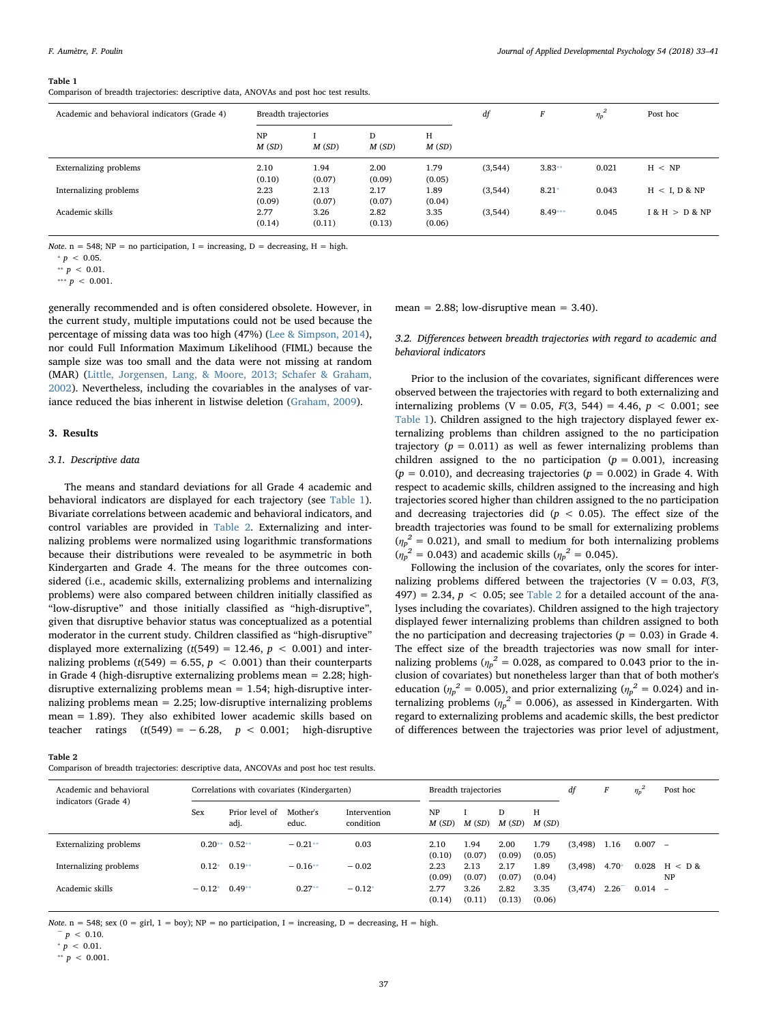#### <span id="page-4-0"></span>Table 1

Comparison of breadth trajectories: descriptive data, ANOVAs and post hoc test results.

| Academic and behavioral indicators (Grade 4) | Breadth trajectories |                |                |                | df      | $\boldsymbol{F}$ | $\eta_p^2$ | Post hoc         |
|----------------------------------------------|----------------------|----------------|----------------|----------------|---------|------------------|------------|------------------|
|                                              | NP<br>M(SD)          | M(SD)          | D<br>M(SD)     | H<br>M(SD)     |         |                  |            |                  |
| Externalizing problems                       | 2.10<br>(0.10)       | 1.94<br>(0.07) | 2.00<br>(0.09) | 1.79<br>(0.05) | (3,544) | $3.83**$         | 0.021      | H < NP           |
| Internalizing problems                       | 2.23<br>(0.09)       | 2.13<br>(0.07) | 2.17<br>(0.07) | 1.89<br>(0.04) | (3,544) | $8.21*$          | 0.043      | $H < I$ , D & NP |
| Academic skills                              | 2.77<br>(0.14)       | 3.26<br>(0.11) | 2.82<br>(0.13) | 3.35<br>(0.06) | (3,544) | $8.49***$        | 0.045      | I & H > D & NP   |

Note,  $n = 548$ ; NP = no participation, I = increasing, D = decreasing, H = high.

<span id="page-4-2"></span>\*\*  $p \, < \, 0.01$ .

<span id="page-4-4"></span>\*\*\*  $p < 0.001$ .

generally recommended and is often considered obsolete. However, in the current study, multiple imputations could not be used because the percentage of missing data was too high (47%) ([Lee & Simpson, 2014](#page-7-35)), nor could Full Information Maximum Likelihood (FIML) because the sample size was too small and the data were not missing at random (MAR) ([Little, Jorgensen, Lang, & Moore, 2013; Schafer & Graham,](#page-7-36) [2002\)](#page-7-36). Nevertheless, including the covariables in the analyses of variance reduced the bias inherent in listwise deletion ([Graham, 2009](#page-7-37)).

#### 3. Results

#### 3.1. Descriptive data

The means and standard deviations for all Grade 4 academic and behavioral indicators are displayed for each trajectory (see [Table 1](#page-4-0)). Bivariate correlations between academic and behavioral indicators, and control variables are provided in [Table 2](#page-4-1). Externalizing and internalizing problems were normalized using logarithmic transformations because their distributions were revealed to be asymmetric in both Kindergarten and Grade 4. The means for the three outcomes considered (i.e., academic skills, externalizing problems and internalizing problems) were also compared between children initially classified as "low-disruptive" and those initially classified as "high-disruptive", given that disruptive behavior status was conceptualized as a potential moderator in the current study. Children classified as "high-disruptive" displayed more externalizing  $(t(549) = 12.46, p < 0.001)$  and internalizing problems ( $t(549) = 6.55$ ,  $p < 0.001$ ) than their counterparts in Grade 4 (high-disruptive externalizing problems mean = 2.28; highdisruptive externalizing problems mean  $= 1.54$ ; high-disruptive internalizing problems mean = 2.25; low-disruptive internalizing problems mean = 1.89). They also exhibited lower academic skills based on teacher ratings  $(t(549) = -6.28, p < 0.001$ ; high-disruptive

#### <span id="page-4-1"></span>Table 2

Comparison of breadth trajectories: descriptive data, ANCOVAs and post hoc test results.

mean =  $2.88$ ; low-disruptive mean =  $3.40$ ).

#### 3.2. Differences between breadth trajectories with regard to academic and behavioral indicators

Prior to the inclusion of the covariates, significant differences were observed between the trajectories with regard to both externalizing and internalizing problems (V = 0.05,  $F(3, 544) = 4.46$ ,  $p < 0.001$ ; see [Table 1\)](#page-4-0). Children assigned to the high trajectory displayed fewer externalizing problems than children assigned to the no participation trajectory ( $p = 0.011$ ) as well as fewer internalizing problems than children assigned to the no participation ( $p = 0.001$ ), increasing  $(p = 0.010)$ , and decreasing trajectories  $(p = 0.002)$  in Grade 4. With respect to academic skills, children assigned to the increasing and high trajectories scored higher than children assigned to the no participation and decreasing trajectories did ( $p < 0.05$ ). The effect size of the breadth trajectories was found to be small for externalizing problems  $(\eta_p^2 = 0.021)$ , and small to medium for both internalizing problems  $(\eta_p^2 = 0.043)$  and academic skills  $(\eta_p^2 = 0.045)$ .

Following the inclusion of the covariates, only the scores for internalizing problems differed between the trajectories ( $V = 0.03$ ,  $F(3)$ , 497) = 2.34,  $p < 0.05$ ; see [Table 2](#page-4-1) for a detailed account of the analyses including the covariates). Children assigned to the high trajectory displayed fewer internalizing problems than children assigned to both the no participation and decreasing trajectories ( $p = 0.03$ ) in Grade 4. The effect size of the breadth trajectories was now small for internalizing problems ( $\eta_p^2 = 0.028$ , as compared to 0.043 prior to the inclusion of covariates) but nonetheless larger than that of both mother's education ( $\eta_p^2$  = 0.005), and prior externalizing ( $\eta_p^2$  = 0.024) and internalizing problems ( $\eta_p^2 = 0.006$ ), as assessed in Kindergarten. With regard to externalizing problems and academic skills, the best predictor of differences between the trajectories was prior level of adjustment,

| Academic and behavioral |          | Correlations with covariates (Kindergarten) |                   |                           |                    | Breadth trajectories |                |                |          | F       | $\eta_p$ <sup>2</sup> | Post hoc                 |
|-------------------------|----------|---------------------------------------------|-------------------|---------------------------|--------------------|----------------------|----------------|----------------|----------|---------|-----------------------|--------------------------|
| indicators (Grade 4)    | Sex      | Prior level of<br>adj.                      | Mother's<br>educ. | Intervention<br>condition | <b>NP</b><br>M(SD) | M(SD)                | D<br>M(SD)     | Н<br>M(SD)     |          |         |                       |                          |
| Externalizing problems  |          | $0.20**$ 0.52**                             | $-0.21**$         | 0.03                      | 2.10<br>(0.10)     | 1.94<br>(0.07)       | 2.00<br>(0.09) | 1.79<br>(0.05) | (3, 498) | 1.16    | 0.007                 | -                        |
| Internalizing problems  | $0.12*$  | $0.19**$                                    | $-0.16**$         | $-0.02$                   | 2.23<br>(0.09)     | 2.13<br>(0.07)       | 2.17<br>(0.07) | 1.89<br>(0.04) | (3.498)  | $4.70*$ | 0.028                 | $H < D$ &<br><b>NP</b>   |
| Academic skills         | $-0.12*$ | $0.49**$                                    | $0.27**$          | $-0.12*$                  | 2.77<br>(0.14)     | 3.26<br>(0.11)       | 2.82<br>(0.13) | 3.35<br>(0.06) | (3, 474) | 2.26    | 0.014                 | $\overline{\phantom{0}}$ |

Note.  $n = 548$ ; sex (0 = girl, 1 = boy); NP = no participation, I = increasing, D = decreasing, H = high.

<span id="page-4-7"></span> $p < 0.10$ .

<span id="page-4-6"></span> $p < 0.01$ .

<span id="page-4-5"></span>\*\*  $p$  < 0.001.

<span id="page-4-3"></span> $p < 0.05$ .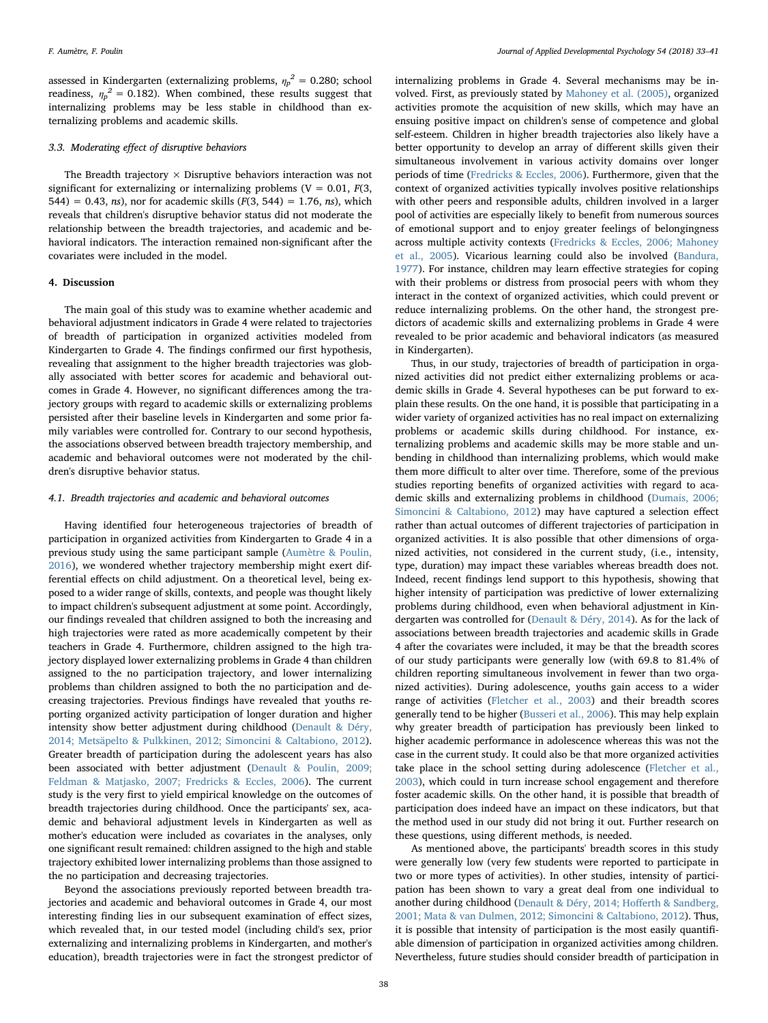assessed in Kindergarten (externalizing problems,  $\eta_p^2 = 0.280$ ; school readiness,  $\eta_p^2 = 0.182$ ). When combined, these results suggest that internalizing problems may be less stable in childhood than externalizing problems and academic skills.

#### 3.3. Moderating effect of disruptive behaviors

The Breadth trajectory  $\times$  Disruptive behaviors interaction was not significant for externalizing or internalizing problems ( $V = 0.01$ ,  $F(3)$ , 544) = 0.43, *ns*), nor for academic skills ( $F(3, 544) = 1.76$ , *ns*), which reveals that children's disruptive behavior status did not moderate the relationship between the breadth trajectories, and academic and behavioral indicators. The interaction remained non-significant after the covariates were included in the model.

#### 4. Discussion

The main goal of this study was to examine whether academic and behavioral adjustment indicators in Grade 4 were related to trajectories of breadth of participation in organized activities modeled from Kindergarten to Grade 4. The findings confirmed our first hypothesis, revealing that assignment to the higher breadth trajectories was globally associated with better scores for academic and behavioral outcomes in Grade 4. However, no significant differences among the trajectory groups with regard to academic skills or externalizing problems persisted after their baseline levels in Kindergarten and some prior family variables were controlled for. Contrary to our second hypothesis, the associations observed between breadth trajectory membership, and academic and behavioral outcomes were not moderated by the children's disruptive behavior status.

#### 4.1. Breadth trajectories and academic and behavioral outcomes

Having identified four heterogeneous trajectories of breadth of participation in organized activities from Kindergarten to Grade 4 in a previous study using the same participant sample ([Aumètre & Poulin,](#page-7-12) [2016\)](#page-7-12), we wondered whether trajectory membership might exert differential effects on child adjustment. On a theoretical level, being exposed to a wider range of skills, contexts, and people was thought likely to impact children's subsequent adjustment at some point. Accordingly, our findings revealed that children assigned to both the increasing and high trajectories were rated as more academically competent by their teachers in Grade 4. Furthermore, children assigned to the high trajectory displayed lower externalizing problems in Grade 4 than children assigned to the no participation trajectory, and lower internalizing problems than children assigned to both the no participation and decreasing trajectories. Previous findings have revealed that youths reporting organized activity participation of longer duration and higher intensity show better adjustment during childhood [\(Denault & Déry,](#page-7-1) [2014; Metsäpelto & Pulkkinen, 2012; Simoncini & Caltabiono, 2012](#page-7-1)). Greater breadth of participation during the adolescent years has also been associated with better adjustment ([Denault & Poulin, 2009;](#page-7-38) [Feldman & Matjasko, 2007; Fredricks & Eccles, 2006](#page-7-38)). The current study is the very first to yield empirical knowledge on the outcomes of breadth trajectories during childhood. Once the participants' sex, academic and behavioral adjustment levels in Kindergarten as well as mother's education were included as covariates in the analyses, only one significant result remained: children assigned to the high and stable trajectory exhibited lower internalizing problems than those assigned to the no participation and decreasing trajectories.

Beyond the associations previously reported between breadth trajectories and academic and behavioral outcomes in Grade 4, our most interesting finding lies in our subsequent examination of effect sizes, which revealed that, in our tested model (including child's sex, prior externalizing and internalizing problems in Kindergarten, and mother's education), breadth trajectories were in fact the strongest predictor of internalizing problems in Grade 4. Several mechanisms may be involved. First, as previously stated by [Mahoney et al. \(2005\)](#page-7-2), organized activities promote the acquisition of new skills, which may have an ensuing positive impact on children's sense of competence and global self-esteem. Children in higher breadth trajectories also likely have a better opportunity to develop an array of different skills given their simultaneous involvement in various activity domains over longer periods of time [\(Fredricks & Eccles, 2006](#page-7-10)). Furthermore, given that the context of organized activities typically involves positive relationships with other peers and responsible adults, children involved in a larger pool of activities are especially likely to benefit from numerous sources of emotional support and to enjoy greater feelings of belongingness across multiple activity contexts ([Fredricks & Eccles, 2006; Mahoney](#page-7-10) [et al., 2005](#page-7-10)). Vicarious learning could also be involved ([Bandura,](#page-7-19) [1977\)](#page-7-19). For instance, children may learn effective strategies for coping with their problems or distress from prosocial peers with whom they interact in the context of organized activities, which could prevent or reduce internalizing problems. On the other hand, the strongest predictors of academic skills and externalizing problems in Grade 4 were revealed to be prior academic and behavioral indicators (as measured in Kindergarten).

Thus, in our study, trajectories of breadth of participation in organized activities did not predict either externalizing problems or academic skills in Grade 4. Several hypotheses can be put forward to explain these results. On the one hand, it is possible that participating in a wider variety of organized activities has no real impact on externalizing problems or academic skills during childhood. For instance, externalizing problems and academic skills may be more stable and unbending in childhood than internalizing problems, which would make them more difficult to alter over time. Therefore, some of the previous studies reporting benefits of organized activities with regard to academic skills and externalizing problems in childhood [\(Dumais, 2006;](#page-7-39) [Simoncini & Caltabiono, 2012](#page-7-39)) may have captured a selection effect rather than actual outcomes of different trajectories of participation in organized activities. It is also possible that other dimensions of organized activities, not considered in the current study, (i.e., intensity, type, duration) may impact these variables whereas breadth does not. Indeed, recent findings lend support to this hypothesis, showing that higher intensity of participation was predictive of lower externalizing problems during childhood, even when behavioral adjustment in Kindergarten was controlled for [\(Denault & Déry, 2014\)](#page-7-1). As for the lack of associations between breadth trajectories and academic skills in Grade 4 after the covariates were included, it may be that the breadth scores of our study participants were generally low (with 69.8 to 81.4% of children reporting simultaneous involvement in fewer than two organized activities). During adolescence, youths gain access to a wider range of activities [\(Fletcher et al., 2003\)](#page-7-3) and their breadth scores generally tend to be higher [\(Busseri et al., 2006](#page-7-9)). This may help explain why greater breadth of participation has previously been linked to higher academic performance in adolescence whereas this was not the case in the current study. It could also be that more organized activities take place in the school setting during adolescence ([Fletcher et al.,](#page-7-3) [2003\)](#page-7-3), which could in turn increase school engagement and therefore foster academic skills. On the other hand, it is possible that breadth of participation does indeed have an impact on these indicators, but that the method used in our study did not bring it out. Further research on these questions, using different methods, is needed.

As mentioned above, the participants' breadth scores in this study were generally low (very few students were reported to participate in two or more types of activities). In other studies, intensity of participation has been shown to vary a great deal from one individual to another during childhood ([Denault & Déry, 2014; Ho](#page-7-1)fferth & Sandberg, [2001; Mata & van Dulmen, 2012; Simoncini & Caltabiono, 2012](#page-7-1)). Thus, it is possible that intensity of participation is the most easily quantifiable dimension of participation in organized activities among children. Nevertheless, future studies should consider breadth of participation in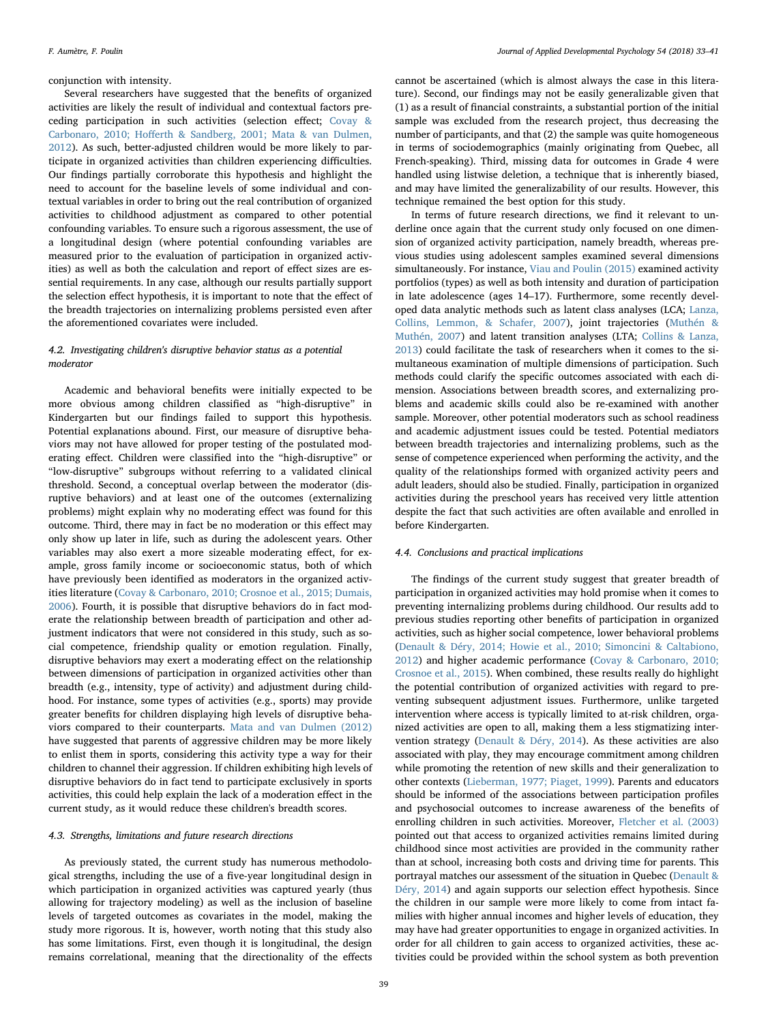conjunction with intensity.

Several researchers have suggested that the benefits of organized activities are likely the result of individual and contextual factors preceding participation in such activities (selection effect; [Covay &](#page-7-13) Carbonaro, 2010; Hoff[erth & Sandberg, 2001; Mata & van Dulmen,](#page-7-13) [2012\)](#page-7-13). As such, better-adjusted children would be more likely to participate in organized activities than children experiencing difficulties. Our findings partially corroborate this hypothesis and highlight the need to account for the baseline levels of some individual and contextual variables in order to bring out the real contribution of organized activities to childhood adjustment as compared to other potential confounding variables. To ensure such a rigorous assessment, the use of a longitudinal design (where potential confounding variables are measured prior to the evaluation of participation in organized activities) as well as both the calculation and report of effect sizes are essential requirements. In any case, although our results partially support the selection effect hypothesis, it is important to note that the effect of the breadth trajectories on internalizing problems persisted even after the aforementioned covariates were included.

## 4.2. Investigating children's disruptive behavior status as a potential moderator

Academic and behavioral benefits were initially expected to be more obvious among children classified as "high-disruptive" in Kindergarten but our findings failed to support this hypothesis. Potential explanations abound. First, our measure of disruptive behaviors may not have allowed for proper testing of the postulated moderating effect. Children were classified into the "high-disruptive" or "low-disruptive" subgroups without referring to a validated clinical threshold. Second, a conceptual overlap between the moderator (disruptive behaviors) and at least one of the outcomes (externalizing problems) might explain why no moderating effect was found for this outcome. Third, there may in fact be no moderation or this effect may only show up later in life, such as during the adolescent years. Other variables may also exert a more sizeable moderating effect, for example, gross family income or socioeconomic status, both of which have previously been identified as moderators in the organized activities literature ([Covay & Carbonaro, 2010; Crosnoe et al., 2015; Dumais,](#page-7-13) [2006\)](#page-7-13). Fourth, it is possible that disruptive behaviors do in fact moderate the relationship between breadth of participation and other adjustment indicators that were not considered in this study, such as social competence, friendship quality or emotion regulation. Finally, disruptive behaviors may exert a moderating effect on the relationship between dimensions of participation in organized activities other than breadth (e.g., intensity, type of activity) and adjustment during childhood. For instance, some types of activities (e.g., sports) may provide greater benefits for children displaying high levels of disruptive behaviors compared to their counterparts. [Mata and van Dulmen \(2012\)](#page-7-11) have suggested that parents of aggressive children may be more likely to enlist them in sports, considering this activity type a way for their children to channel their aggression. If children exhibiting high levels of disruptive behaviors do in fact tend to participate exclusively in sports activities, this could help explain the lack of a moderation effect in the current study, as it would reduce these children's breadth scores.

#### 4.3. Strengths, limitations and future research directions

As previously stated, the current study has numerous methodological strengths, including the use of a five-year longitudinal design in which participation in organized activities was captured yearly (thus allowing for trajectory modeling) as well as the inclusion of baseline levels of targeted outcomes as covariates in the model, making the study more rigorous. It is, however, worth noting that this study also has some limitations. First, even though it is longitudinal, the design remains correlational, meaning that the directionality of the effects

cannot be ascertained (which is almost always the case in this literature). Second, our findings may not be easily generalizable given that (1) as a result of financial constraints, a substantial portion of the initial sample was excluded from the research project, thus decreasing the number of participants, and that (2) the sample was quite homogeneous in terms of sociodemographics (mainly originating from Quebec, all French-speaking). Third, missing data for outcomes in Grade 4 were handled using listwise deletion, a technique that is inherently biased, and may have limited the generalizability of our results. However, this technique remained the best option for this study.

In terms of future research directions, we find it relevant to underline once again that the current study only focused on one dimension of organized activity participation, namely breadth, whereas previous studies using adolescent samples examined several dimensions simultaneously. For instance, [Viau and Poulin \(2015\)](#page-8-4) examined activity portfolios (types) as well as both intensity and duration of participation in late adolescence (ages 14–17). Furthermore, some recently developed data analytic methods such as latent class analyses (LCA; [Lanza,](#page-7-40) [Collins, Lemmon, & Schafer, 2007](#page-7-40)), joint trajectories [\(Muthén &](#page-8-5) [Muthén, 2007\)](#page-8-5) and latent transition analyses (LTA; [Collins & Lanza,](#page-7-41) [2013\)](#page-7-41) could facilitate the task of researchers when it comes to the simultaneous examination of multiple dimensions of participation. Such methods could clarify the specific outcomes associated with each dimension. Associations between breadth scores, and externalizing problems and academic skills could also be re-examined with another sample. Moreover, other potential moderators such as school readiness and academic adjustment issues could be tested. Potential mediators between breadth trajectories and internalizing problems, such as the sense of competence experienced when performing the activity, and the quality of the relationships formed with organized activity peers and adult leaders, should also be studied. Finally, participation in organized activities during the preschool years has received very little attention despite the fact that such activities are often available and enrolled in before Kindergarten.

### 4.4. Conclusions and practical implications

The findings of the current study suggest that greater breadth of participation in organized activities may hold promise when it comes to preventing internalizing problems during childhood. Our results add to previous studies reporting other benefits of participation in organized activities, such as higher social competence, lower behavioral problems ([Denault & Déry, 2014; Howie et al., 2010; Simoncini & Caltabiono,](#page-7-1) [2012\)](#page-7-1) and higher academic performance ([Covay & Carbonaro, 2010;](#page-7-13) [Crosnoe et al., 2015](#page-7-13)). When combined, these results really do highlight the potential contribution of organized activities with regard to preventing subsequent adjustment issues. Furthermore, unlike targeted intervention where access is typically limited to at-risk children, organized activities are open to all, making them a less stigmatizing intervention strategy [\(Denault & Déry, 2014\)](#page-7-1). As these activities are also associated with play, they may encourage commitment among children while promoting the retention of new skills and their generalization to other contexts [\(Lieberman, 1977; Piaget, 1999\)](#page-7-42). Parents and educators should be informed of the associations between participation profiles and psychosocial outcomes to increase awareness of the benefits of enrolling children in such activities. Moreover, [Fletcher et al. \(2003\)](#page-7-3) pointed out that access to organized activities remains limited during childhood since most activities are provided in the community rather than at school, increasing both costs and driving time for parents. This portrayal matches our assessment of the situation in Quebec [\(Denault &](#page-7-1) [Déry, 2014\)](#page-7-1) and again supports our selection effect hypothesis. Since the children in our sample were more likely to come from intact families with higher annual incomes and higher levels of education, they may have had greater opportunities to engage in organized activities. In order for all children to gain access to organized activities, these activities could be provided within the school system as both prevention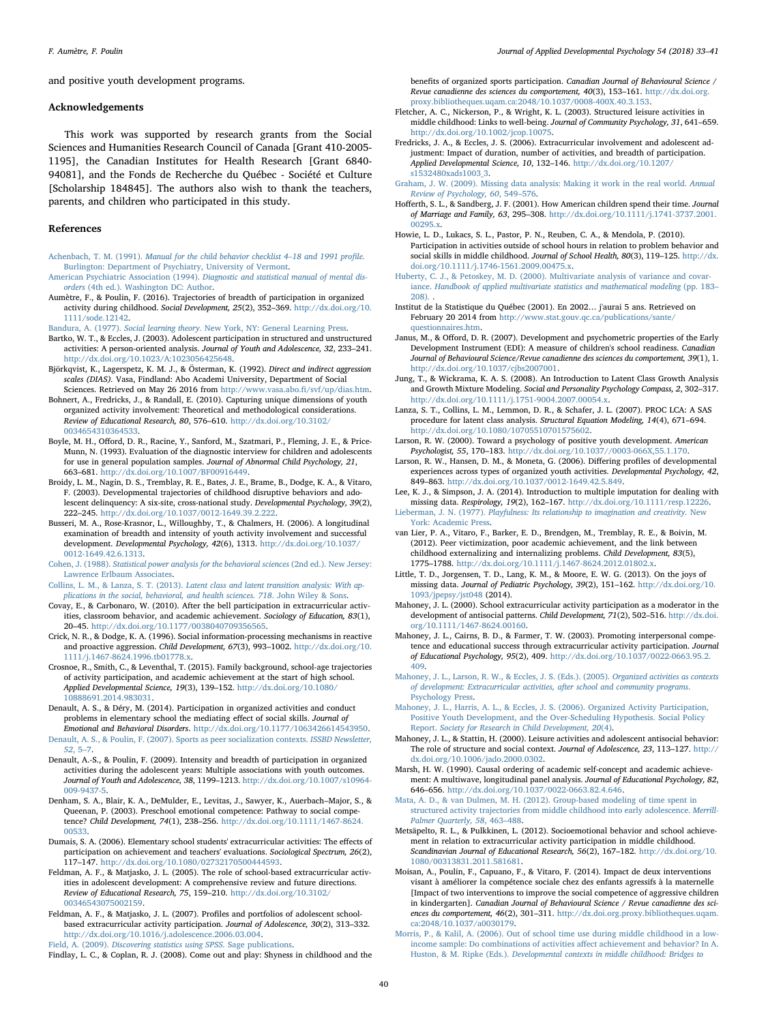and positive youth development programs.

#### Acknowledgements

This work was supported by research grants from the Social Sciences and Humanities Research Council of Canada [Grant 410-2005- 1195], the Canadian Institutes for Health Research [Grant 6840- 94081], and the Fonds de Recherche du Québec - Société et Culture [Scholarship 184845]. The authors also wish to thank the teachers, parents, and children who participated in this study.

#### References

- <span id="page-7-29"></span>Achenbach, T. M. (1991). [Manual for the child behavior checklist 4](http://refhub.elsevier.com/S0193-3973(17)30323-4/rf0005)–18 and 1991 profile. [Burlington: Department of Psychiatry, University of Vermont](http://refhub.elsevier.com/S0193-3973(17)30323-4/rf0005).
- <span id="page-7-24"></span>American Psychiatric Association (1994). [Diagnostic and statistical manual of mental dis](http://refhub.elsevier.com/S0193-3973(17)30323-4/rf0010)orders [\(4th ed.\). Washington DC: Author.](http://refhub.elsevier.com/S0193-3973(17)30323-4/rf0010)
- <span id="page-7-12"></span>Aumètre, F., & Poulin, F. (2016). Trajectories of breadth of participation in organized activity during childhood. Social Development, 25(2), 352–369. [http://dx.doi.org/10.](http://dx.doi.org/10.1111/sode.12142) [1111/sode.12142](http://dx.doi.org/10.1111/sode.12142).
- <span id="page-7-19"></span><span id="page-7-6"></span>Bandura, A. (1977). Social learning theory. [New York, NY: General Learning Press.](http://refhub.elsevier.com/S0193-3973(17)30323-4/rf0020) Bartko, W. T., & Eccles, J. (2003). Adolescent participation in structured and unstructured activities: A person-oriented analysis. Journal of Youth and Adolescence, 32, 233–241. <http://dx.doi.org/10.1023/A:1023056425648>.
- Björkqvist, K., Lagerspetz, K. M. J., & Österman, K. (1992). Direct and indirect aggression scales (DIAS). Vasa, Findland: Abo Academi University, Department of Social
- <span id="page-7-4"></span>Sciences. Retrieved on May 26 2016 from [http://www.vasa.abo.](http://www.vasa.abo.fi/svf/up/dias.htm)fi/svf/up/dias.htm. Bohnert, A., Fredricks, J., & Randall, E. (2010). Capturing unique dimensions of youth organized activity involvement: Theoretical and methodological considerations. Review of Educational Research, 80, 576–610. [http://dx.doi.org/10.3102/](http://dx.doi.org/10.3102/0034654310364533)
- [0034654310364533.](http://dx.doi.org/10.3102/0034654310364533) Boyle, M. H., Offord, D. R., Racine, Y., Sanford, M., Szatmari, P., Fleming, J. E., & Price-Munn, N. (1993). Evaluation of the diagnostic interview for children and adolescents for use in general population samples. Journal of Abnormal Child Psychology, 21,
- <span id="page-7-14"></span>663–681. <http://dx.doi.org/10.1007/BF00916449>. Broidy, L. M., Nagin, D. S., Tremblay, R. E., Bates, J. E., Brame, B., Dodge, K. A., & Vitaro, F. (2003). Developmental trajectories of childhood disruptive behaviors and adolescent delinquency: A six-site, cross-national study. Developmental Psychology, 39(2), 222–245. [http://dx.doi.org/10.1037/0012-1649.39.2.222.](http://dx.doi.org/10.1037/0012-1649.39.2.222)
- <span id="page-7-9"></span>Busseri, M. A., Rose-Krasnor, L., Willoughby, T., & Chalmers, H. (2006). A longitudinal examination of breadth and intensity of youth activity involvement and successful development. Developmental Psychology, 42(6), 1313. [http://dx.doi.org/10.1037/](http://dx.doi.org/10.1037/0012-1649.42.6.1313) [0012-1649.42.6.1313.](http://dx.doi.org/10.1037/0012-1649.42.6.1313)
- <span id="page-7-34"></span>Cohen, J. (1988). [Statistical power analysis for the behavioral sciences](http://refhub.elsevier.com/S0193-3973(17)30323-4/rf0055) (2nd ed.). New Jersey: [Lawrence Erlbaum Associates.](http://refhub.elsevier.com/S0193-3973(17)30323-4/rf0055)
- <span id="page-7-41"></span>Collins, L. M., & Lanza, S. T. (2013). [Latent class and latent transition analysis: With ap](http://refhub.elsevier.com/S0193-3973(17)30323-4/rf2030)[plications in the social, behavioral, and health sciences. 718](http://refhub.elsevier.com/S0193-3973(17)30323-4/rf2030). John Wiley & Sons.
- <span id="page-7-13"></span>Covay, E., & Carbonaro, W. (2010). After the bell participation in extracurricular activities, classroom behavior, and academic achievement. Sociology of Education, 83(1), 20–45. <http://dx.doi.org/10.1177/0038040709356565>.
- <span id="page-7-16"></span>Crick, N. R., & Dodge, K. A. (1996). Social information-processing mechanisms in reactive and proactive aggression. Child Development, 67(3), 993–1002. [http://dx.doi.org/10.](http://dx.doi.org/10.1111/j.1467-8624.1996.tb01778.x) [1111/j.1467-8624.1996.tb01778.x](http://dx.doi.org/10.1111/j.1467-8624.1996.tb01778.x).
- <span id="page-7-0"></span>Crosnoe, R., Smith, C., & Leventhal, T. (2015). Family background, school-age trajectories of activity participation, and academic achievement at the start of high school. Applied Developmental Science, 19(3), 139–152. [http://dx.doi.org/10.1080/](http://dx.doi.org/10.1080/10888691.2014.983031) [10888691.2014.983031.](http://dx.doi.org/10.1080/10888691.2014.983031)
- <span id="page-7-1"></span>Denault, A. S., & Déry, M. (2014). Participation in organized activities and conduct problems in elementary school the mediating effect of social skills. Journal of Emotional and Behavioral Disorders. [http://dx.doi.org/10.1177/1063426614543950.](http://dx.doi.org/10.1177/1063426614543950)
- <span id="page-7-25"></span>[Denault, A. S., & Poulin, F. \(2007\). Sports as peer socialization contexts.](http://refhub.elsevier.com/S0193-3973(17)30323-4/rf0080) ISSBD Newsletter, 52[, 5](http://refhub.elsevier.com/S0193-3973(17)30323-4/rf0080)–7.
- <span id="page-7-38"></span>Denault, A.-S., & Poulin, F. (2009). Intensity and breadth of participation in organized activities during the adolescent years: Multiple associations with youth outcomes. Journal of Youth and Adolescence, 38, 1199–1213. [http://dx.doi.org/10.1007/s10964-](http://dx.doi.org/10.1007/s10964-009-9437-5) [009-9437-5](http://dx.doi.org/10.1007/s10964-009-9437-5).
- <span id="page-7-17"></span>Denham, S. A., Blair, K. A., DeMulder, E., Levitas, J., Sawyer, K., Auerbach–Major, S., & Queenan, P. (2003). Preschool emotional competence: Pathway to social competence? Child Development, 74(1), 238–256. [http://dx.doi.org/10.1111/1467-8624.](http://dx.doi.org/10.1111/1467-8624.00533) [00533.](http://dx.doi.org/10.1111/1467-8624.00533)
- <span id="page-7-39"></span>Dumais, S. A. (2006). Elementary school students' extracurricular activities: The effects of participation on achievement and teachers' evaluations. Sociological Spectrum, 26(2), 117–147. <http://dx.doi.org/10.1080/02732170500444593>.
- <span id="page-7-23"></span>Feldman, A. F., & Matjasko, J. L. (2005). The role of school-based extracurricular activities in adolescent development: A comprehensive review and future directions. Review of Educational Research, 75, 159–210. [http://dx.doi.org/10.3102/](http://dx.doi.org/10.3102/00346543075002159) [00346543075002159.](http://dx.doi.org/10.3102/00346543075002159)
- Feldman, A. F., & Matjasko, J. L. (2007). Profiles and portfolios of adolescent schoolbased extracurricular activity participation. Journal of Adolescence, 30(2), 313–332. <http://dx.doi.org/10.1016/j.adolescence.2006.03.004>.

<span id="page-7-33"></span>Field, A. (2009). [Discovering statistics using SPSS.](http://refhub.elsevier.com/S0193-3973(17)30323-4/rf0115) Sage publications.

<span id="page-7-22"></span>Findlay, L. C., & Coplan, R. J. (2008). Come out and play: Shyness in childhood and the

benefits of organized sports participation. Canadian Journal of Behavioural Science / Revue canadienne des sciences du comportement, 40(3), 153–161. [http://dx.doi.org.](http://dx.doi.org/.proxy.bibliotheques.uqam.ca:2048/10.1037/0008-400X.40.3.153) [proxy.bibliotheques.uqam.ca:2048/10.1037/0008-400X.40.3.153.](http://dx.doi.org/.proxy.bibliotheques.uqam.ca:2048/10.1037/0008-400X.40.3.153)

- <span id="page-7-3"></span>Fletcher, A. C., Nickerson, P., & Wright, K. L. (2003). Structured leisure activities in middle childhood: Links to well-being. Journal of Community Psychology, 31, 641–659. <http://dx.doi.org/10.1002/jcop.10075>.
- <span id="page-7-10"></span>Fredricks, J. A., & Eccles, J. S. (2006). Extracurricular involvement and adolescent adjustment: Impact of duration, number of activities, and breadth of participation. Applied Developmental Science, 10, 132–146. [http://dx.doi.org/10.1207/](http://dx.doi.org/10.1207/s1532480xads1003_3) [s1532480xads1003\\_3.](http://dx.doi.org/10.1207/s1532480xads1003_3)
- <span id="page-7-37"></span>[Graham, J. W. \(2009\). Missing data analysis: Making it work in the real world.](http://refhub.elsevier.com/S0193-3973(17)30323-4/rf0130) Annual [Review of Psychology, 60](http://refhub.elsevier.com/S0193-3973(17)30323-4/rf0130), 549–576.
- <span id="page-7-27"></span>Hofferth, S. L., & Sandberg, J. F. (2001). How American children spend their time. Journal of Marriage and Family, 63, 295–308. [http://dx.doi.org/10.1111/j.1741-3737.2001.](http://dx.doi.org/10.1111/j.1741-3737.2001.00295.x) [00295.x.](http://dx.doi.org/10.1111/j.1741-3737.2001.00295.x)
- <span id="page-7-8"></span>Howie, L. D., Lukacs, S. L., Pastor, P. N., Reuben, C. A., & Mendola, P. (2010). Participation in activities outside of school hours in relation to problem behavior and social skills in middle childhood. Journal of School Health, 80(3), 119–125. [http://dx.](http://dx.doi.org/10.1111/j.1746-1561.2009.00475.x) [doi.org/10.1111/j.1746-1561.2009.00475.x.](http://dx.doi.org/10.1111/j.1746-1561.2009.00475.x)
- <span id="page-7-32"></span>[Huberty, C. J., & Petoskey, M. D. \(2000\). Multivariate analysis of variance and covar](http://refhub.elsevier.com/S0193-3973(17)30323-4/rf0145)iance. [Handbook of applied multivariate statistics and mathematical modeling](http://refhub.elsevier.com/S0193-3973(17)30323-4/rf0145) (pp. 183– [208\).](http://refhub.elsevier.com/S0193-3973(17)30323-4/rf0145) .
- <span id="page-7-28"></span>Institut de la Statistique du Québec (2001). En 2002… j'aurai 5 ans. Retrieved on February 20 2014 from [http://www.stat.gouv.qc.ca/publications/sante/](http://www.stat.gouv.qc.ca/publications/sante/questionnaires.htm) [questionnaires.htm.](http://www.stat.gouv.qc.ca/publications/sante/questionnaires.htm)
- <span id="page-7-31"></span>Janus, M., & Offord, D. R. (2007). Development and psychometric properties of the Early Development Instrument (EDI): A measure of children's school readiness. Canadian Journal of Behavioural Science/Revue canadienne des sciences du comportement, 39(1), 1. <http://dx.doi.org/10.1037/cjbs2007001>.
- <span id="page-7-26"></span>Jung, T., & Wickrama, K. A. S. (2008). An Introduction to Latent Class Growth Analysis and Growth Mixture Modeling. Social and Personality Psychology Compass, 2, 302–317. [http://dx.doi.org/10.1111/j.1751-9004.2007.00054.x.](http://dx.doi.org/10.1111/j.1751-9004.2007.00054.x)
- <span id="page-7-40"></span>Lanza, S. T., Collins, L. M., Lemmon, D. R., & Schafer, J. L. (2007). PROC LCA: A SAS procedure for latent class analysis. Structural Equation Modeling, 14(4), 671–694. <http://dx.doi.org/10.1080/10705510701575602>.
- <span id="page-7-18"></span>Larson, R. W. (2000). Toward a psychology of positive youth development. American Psychologist, 55, 170–183. <http://dx.doi.org/10.1037//0003-066X,55.1.170>.
- Larson, R. W., Hansen, D. M., & Moneta, G. (2006). Differing profiles of developmental experiences across types of organized youth activities. Developmental Psychology, 42, 849–863. [http://dx.doi.org/10.1037/0012-1649.42.5.849.](http://dx.doi.org/10.1037/0012-1649.42.5.849)
- <span id="page-7-35"></span>Lee, K. J., & Simpson, J. A. (2014). Introduction to multiple imputation for dealing with missing data. Respirology, 19(2), 162–167. [http://dx.doi.org/10.1111/resp.12226.](http://dx.doi.org/10.1111/resp.12226)
- <span id="page-7-42"></span>Lieberman, J. N. (1977). [Playfulness: Its relationship to imagination and creativity.](http://refhub.elsevier.com/S0193-3973(17)30323-4/rf0180) New [York: Academic Press.](http://refhub.elsevier.com/S0193-3973(17)30323-4/rf0180)
- <span id="page-7-30"></span>van Lier, P. A., Vitaro, F., Barker, E. D., Brendgen, M., Tremblay, R. E., & Boivin, M. (2012). Peer victimization, poor academic achievement, and the link between childhood externalizing and internalizing problems. Child Development, 83(5), 1775–1788. [http://dx.doi.org/10.1111/j.1467-8624.2012.01802.x.](http://dx.doi.org/10.1111/j.1467-8624.2012.01802.x)
- <span id="page-7-36"></span>Little, T. D., Jorgensen, T. D., Lang, K. M., & Moore, E. W. G. (2013). On the joys of missing data. Journal of Pediatric Psychology, 39(2), 151–162. [http://dx.doi.org/10.](http://dx.doi.org/10.1093/jpepsy/jst048) [1093/jpepsy/jst048](http://dx.doi.org/10.1093/jpepsy/jst048) (2014).
- <span id="page-7-21"></span>Mahoney, J. L. (2000). School extracurricular activity participation as a moderator in the development of antisocial patterns. Child Development, 71(2), 502–516. [http://dx.doi.](http://dx.doi.org/10.1111/1467-8624.00160) [org/10.1111/1467-8624.00160.](http://dx.doi.org/10.1111/1467-8624.00160)
- Mahoney, J. L., Cairns, B. D., & Farmer, T. W. (2003). Promoting interpersonal competence and educational success through extracurricular activity participation. Journal of Educational Psychology, 95(2), 409. [http://dx.doi.org/10.1037/0022-0663.95.2.](http://dx.doi.org/10.1037/0022-0663.95.2.409) [409](http://dx.doi.org/10.1037/0022-0663.95.2.409).
- <span id="page-7-2"></span>[Mahoney, J. L., Larson, R. W., & Eccles, J. S. \(Eds.\). \(2005\).](http://refhub.elsevier.com/S0193-3973(17)30323-4/rf0205) Organized activities as contexts [of development: Extracurricular activities, after school and community programs](http://refhub.elsevier.com/S0193-3973(17)30323-4/rf0205). [Psychology Press.](http://refhub.elsevier.com/S0193-3973(17)30323-4/rf0205)
- [Mahoney, J. L., Harris, A. L., & Eccles, J. S. \(2006\). Organized Activity Participation,](http://refhub.elsevier.com/S0193-3973(17)30323-4/rf2025) [Positive Youth Development, and the Over-Scheduling Hypothesis. Social Policy](http://refhub.elsevier.com/S0193-3973(17)30323-4/rf2025) Report. [Society for Research in Child Development, 20](http://refhub.elsevier.com/S0193-3973(17)30323-4/rf2025)(4).
- <span id="page-7-20"></span>Mahoney, J. L., & Stattin, H. (2000). Leisure activities and adolescent antisocial behavior: The role of structure and social context. Journal of Adolescence, 23, 113–127. [http://](http://dx.doi.org/10.1006/jado.2000.0302) [dx.doi.org/10.1006/jado.2000.0302](http://dx.doi.org/10.1006/jado.2000.0302).
- Marsh, H. W. (1990). Causal ordering of academic self-concept and academic achievement: A multiwave, longitudinal panel analysis. Journal of Educational Psychology, 82, 646–656. [http://dx.doi.org/10.1037/0022-0663.82.4.646.](http://dx.doi.org/10.1037/0022-0663.82.4.646)
- <span id="page-7-11"></span>[Mata, A. D., & van Dulmen, M. H. \(2012\). Group-based modeling of time spent in](http://refhub.elsevier.com/S0193-3973(17)30323-4/rf0220) [structured activity trajectories from middle childhood into early adolescence.](http://refhub.elsevier.com/S0193-3973(17)30323-4/rf0220) Merrill-[Palmer Quarterly, 58](http://refhub.elsevier.com/S0193-3973(17)30323-4/rf0220), 463–488.
- <span id="page-7-5"></span>Metsäpelto, R. L., & Pulkkinen, L. (2012). Socioemotional behavior and school achievement in relation to extracurricular activity participation in middle childhood. Scandinavian Journal of Educational Research, 56(2), 167–182. [http://dx.doi.org/10.](http://dx.doi.org/10.1080/00313831.2011.581681) [1080/00313831.2011.581681](http://dx.doi.org/10.1080/00313831.2011.581681).
- <span id="page-7-15"></span>Moisan, A., Poulin, F., Capuano, F., & Vitaro, F. (2014). Impact de deux interventions visant à améliorer la compétence sociale chez des enfants agressifs à la maternelle [Impact of two interventions to improve the social competence of aggressive children in kindergarten]. Canadian Journal of Behavioural Science / Revue canadienne des sciences du comportement, 46(2), 301–311. [http://dx.doi.org.proxy.bibliotheques.uqam.](http://dx.doi.org/.proxy.bibliotheques.uqam.ca:2048/10.1037/a0030179) [ca:2048/10.1037/a0030179.](http://dx.doi.org/.proxy.bibliotheques.uqam.ca:2048/10.1037/a0030179)
- <span id="page-7-7"></span>[Morris, P., & Kalil, A. \(2006\). Out of school time use during middle childhood in a low](http://refhub.elsevier.com/S0193-3973(17)30323-4/rf0235)[income sample: Do combinations of activities a](http://refhub.elsevier.com/S0193-3973(17)30323-4/rf0235)ffect achievement and behavior? In A. Huston, & M. Ripke (Eds.). [Developmental contexts in middle childhood: Bridges to](http://refhub.elsevier.com/S0193-3973(17)30323-4/rf0235)